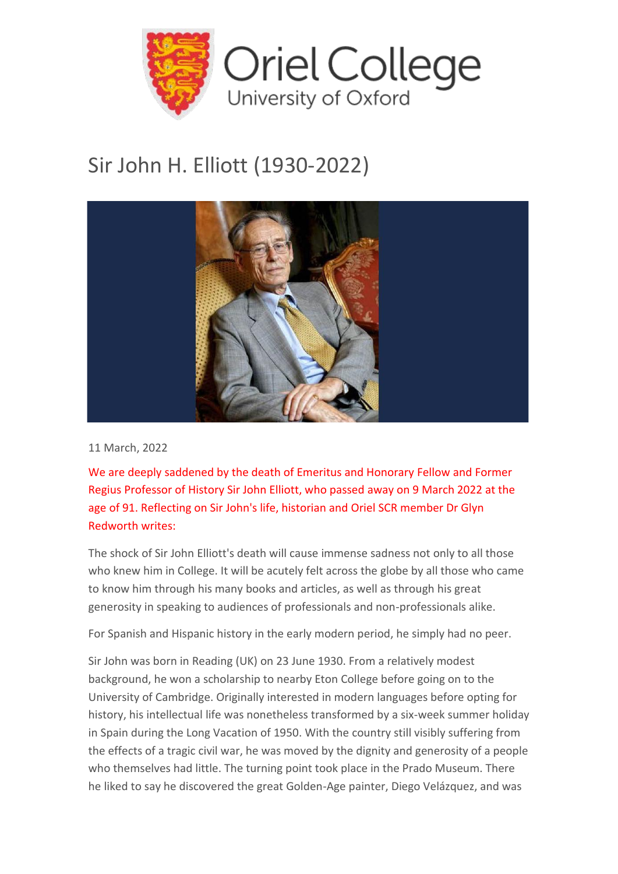

## Sir John H. Elliott (1930-2022)



11 March, 2022

We are deeply saddened by the death of Emeritus and Honorary Fellow and Former Regius Professor of History Sir John Elliott, who passed away on 9 March 2022 at the age of 91. Reflecting on Sir John's life, historian and Oriel SCR member Dr Glyn Redworth writes:

The shock of Sir John Elliott's death will cause immense sadness not only to all those who knew him in College. It will be acutely felt across the globe by all those who came to know him through his many books and articles, as well as through his great generosity in speaking to audiences of professionals and non-professionals alike.

For Spanish and Hispanic history in the early modern period, he simply had no peer.

Sir John was born in Reading (UK) on 23 June 1930. From a relatively modest background, he won a scholarship to nearby Eton College before going on to the University of Cambridge. Originally interested in modern languages before opting for history, his intellectual life was nonetheless transformed by a six-week summer holiday in Spain during the Long Vacation of 1950. With the country still visibly suffering from the effects of a tragic civil war, he was moved by the dignity and generosity of a people who themselves had little. The turning point took place in the Prado Museum. There he liked to say he discovered the great Golden-Age painter, Diego Velázquez, and was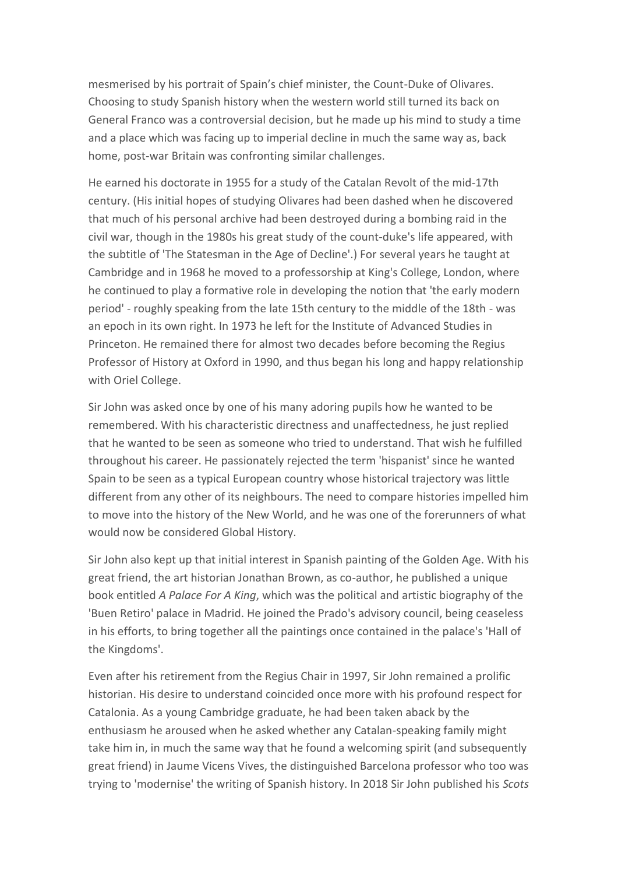mesmerised by his portrait of Spain's chief minister, the Count-Duke of Olivares. Choosing to study Spanish history when the western world still turned its back on General Franco was a controversial decision, but he made up his mind to study a time and a place which was facing up to imperial decline in much the same way as, back home, post-war Britain was confronting similar challenges.

He earned his doctorate in 1955 for a study of the Catalan Revolt of the mid-17th century. (His initial hopes of studying Olivares had been dashed when he discovered that much of his personal archive had been destroyed during a bombing raid in the civil war, though in the 1980s his great study of the count-duke's life appeared, with the subtitle of 'The Statesman in the Age of Decline'.) For several years he taught at Cambridge and in 1968 he moved to a professorship at King's College, London, where he continued to play a formative role in developing the notion that 'the early modern period' - roughly speaking from the late 15th century to the middle of the 18th - was an epoch in its own right. In 1973 he left for the Institute of Advanced Studies in Princeton. He remained there for almost two decades before becoming the Regius Professor of History at Oxford in 1990, and thus began his long and happy relationship with Oriel College.

Sir John was asked once by one of his many adoring pupils how he wanted to be remembered. With his characteristic directness and unaffectedness, he just replied that he wanted to be seen as someone who tried to understand. That wish he fulfilled throughout his career. He passionately rejected the term 'hispanist' since he wanted Spain to be seen as a typical European country whose historical trajectory was little different from any other of its neighbours. The need to compare histories impelled him to move into the history of the New World, and he was one of the forerunners of what would now be considered Global History.

Sir John also kept up that initial interest in Spanish painting of the Golden Age. With his great friend, the art historian Jonathan Brown, as co-author, he published a unique book entitled *A Palace For A King*, which was the political and artistic biography of the 'Buen Retiro' palace in Madrid. He joined the Prado's advisory council, being ceaseless in his efforts, to bring together all the paintings once contained in the palace's 'Hall of the Kingdoms'.

Even after his retirement from the Regius Chair in 1997, Sir John remained a prolific historian. His desire to understand coincided once more with his profound respect for Catalonia. As a young Cambridge graduate, he had been taken aback by the enthusiasm he aroused when he asked whether any Catalan-speaking family might take him in, in much the same way that he found a welcoming spirit (and subsequently great friend) in Jaume Vicens Vives, the distinguished Barcelona professor who too was trying to 'modernise' the writing of Spanish history. In 2018 Sir John published his *Scots*